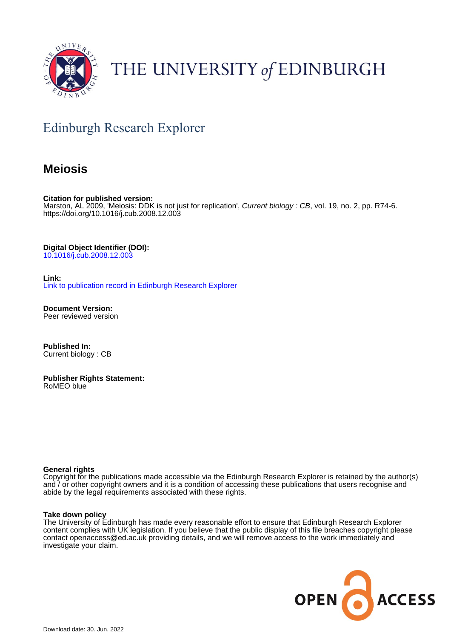

# THE UNIVERSITY of EDINBURGH

# Edinburgh Research Explorer

## **Meiosis**

**Citation for published version:** Marston, AL 2009, 'Meiosis: DDK is not just for replication', Current biology : CB, vol. 19, no. 2, pp. R74-6. <https://doi.org/10.1016/j.cub.2008.12.003>

**Digital Object Identifier (DOI):** [10.1016/j.cub.2008.12.003](https://doi.org/10.1016/j.cub.2008.12.003)

**Link:**

[Link to publication record in Edinburgh Research Explorer](https://www.research.ed.ac.uk/en/publications/14058eb8-bf44-4f73-ae71-a79dadfa78e5)

**Document Version:** Peer reviewed version

**Published In:** Current biology : CB

**Publisher Rights Statement:** RoMEO blue

## **General rights**

Copyright for the publications made accessible via the Edinburgh Research Explorer is retained by the author(s) and / or other copyright owners and it is a condition of accessing these publications that users recognise and abide by the legal requirements associated with these rights.

## **Take down policy**

The University of Edinburgh has made every reasonable effort to ensure that Edinburgh Research Explorer content complies with UK legislation. If you believe that the public display of this file breaches copyright please contact openaccess@ed.ac.uk providing details, and we will remove access to the work immediately and investigate your claim.

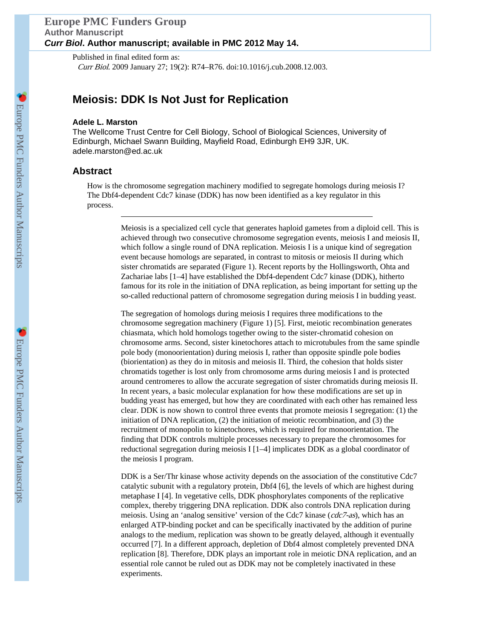## **Europe PMC Funders Group Author Manuscript** *Curr Biol***. Author manuscript; available in PMC 2012 May 14.**

Published in final edited form as: Curr Biol. 2009 January 27; 19(2): R74–R76. doi:10.1016/j.cub.2008.12.003.

## **Meiosis: DDK Is Not Just for Replication**

#### **Adele L. Marston**

The Wellcome Trust Centre for Cell Biology, School of Biological Sciences, University of Edinburgh, Michael Swann Building, Mayfield Road, Edinburgh EH9 3JR, UK. adele.marston@ed.ac.uk

## **Abstract**

How is the chromosome segregation machinery modified to segregate homologs during meiosis I? The Dbf4-dependent Cdc7 kinase (DDK) has now been identified as a key regulator in this process.

> Meiosis is a specialized cell cycle that generates haploid gametes from a diploid cell. This is achieved through two consecutive chromosome segregation events, meiosis I and meiosis II, which follow a single round of DNA replication. Meiosis I is a unique kind of segregation event because homologs are separated, in contrast to mitosis or meiosis II during which sister chromatids are separated (Figure 1). Recent reports by the Hollingsworth, Ohta and Zachariae labs [1–4] have established the Dbf4-dependent Cdc7 kinase (DDK), hitherto famous for its role in the initiation of DNA replication, as being important for setting up the so-called reductional pattern of chromosome segregation during meiosis I in budding yeast.

> The segregation of homologs during meiosis I requires three modifications to the chromosome segregation machinery (Figure 1) [5]. First, meiotic recombination generates chiasmata, which hold homologs together owing to the sister-chromatid cohesion on chromosome arms. Second, sister kinetochores attach to microtubules from the same spindle pole body (monoorientation) during meiosis I, rather than opposite spindle pole bodies (biorientation) as they do in mitosis and meiosis II. Third, the cohesion that holds sister chromatids together is lost only from chromosome arms during meiosis I and is protected around centromeres to allow the accurate segregation of sister chromatids during meiosis II. In recent years, a basic molecular explanation for how these modifications are set up in budding yeast has emerged, but how they are coordinated with each other has remained less clear. DDK is now shown to control three events that promote meiosis I segregation: (1) the initiation of DNA replication, (2) the initiation of meiotic recombination, and (3) the recruitment of monopolin to kinetochores, which is required for monoorientation. The finding that DDK controls multiple processes necessary to prepare the chromosomes for reductional segregation during meiosis I [1–4] implicates DDK as a global coordinator of the meiosis I program.

DDK is a Ser/Thr kinase whose activity depends on the association of the constitutive Cdc7 catalytic subunit with a regulatory protein, Dbf4 [6], the levels of which are highest during metaphase I [4]. In vegetative cells, DDK phosphorylates components of the replicative complex, thereby triggering DNA replication. DDK also controls DNA replication during meiosis. Using an 'analog sensitive' version of the Cdc7 kinase (cdc7-as), which has an enlarged ATP-binding pocket and can be specifically inactivated by the addition of purine analogs to the medium, replication was shown to be greatly delayed, although it eventually occurred [7]. In a different approach, depletion of Dbf4 almost completely prevented DNA replication [8]. Therefore, DDK plays an important role in meiotic DNA replication, and an essential role cannot be ruled out as DDK may not be completely inactivated in these experiments.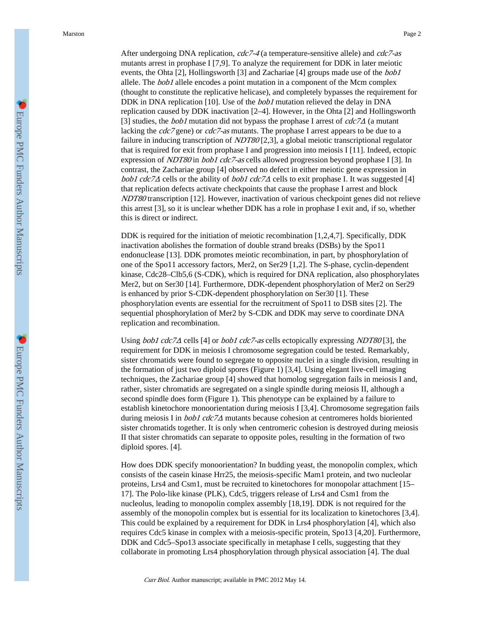After undergoing DNA replication, cdc7-4 (a temperature-sensitive allele) and cdc7-as mutants arrest in prophase I [7,9]. To analyze the requirement for DDK in later meiotic events, the Ohta [2], Hollingsworth [3] and Zachariae [4] groups made use of the *bob1* allele. The *bob1* allele encodes a point mutation in a component of the Mcm complex (thought to constitute the replicative helicase), and completely bypasses the requirement for DDK in DNA replication [10]. Use of the *bob1* mutation relieved the delay in DNA replication caused by DDK inactivation [2–4]. However, in the Ohta [2] and Hollingsworth [3] studies, the *bob1* mutation did not bypass the prophase I arrest of  $\text{cdc}7\Delta$  (a mutant lacking the *cdc7* gene) or *cdc7-as* mutants. The prophase I arrest appears to be due to a failure in inducing transcription of *NDT80* [2,3], a global meiotic transcriptional regulator that is required for exit from prophase I and progression into meiosis I [11]. Indeed, ectopic expression of *NDT80* in *bob1 cdc7-as* cells allowed progression beyond prophase I [3]. In contrast, the Zachariae group [4] observed no defect in either meiotic gene expression in bob1 cdc7 $\Delta$  cells or the ability of bob1 cdc7 $\Delta$  cells to exit prophase I. It was suggested [4] that replication defects activate checkpoints that cause the prophase I arrest and block NDT80 transcription [12]. However, inactivation of various checkpoint genes did not relieve this arrest [3], so it is unclear whether DDK has a role in prophase I exit and, if so, whether this is direct or indirect.

DDK is required for the initiation of meiotic recombination [1,2,4,7]. Specifically, DDK inactivation abolishes the formation of double strand breaks (DSBs) by the Spo11 endonuclease [13]. DDK promotes meiotic recombination, in part, by phosphorylation of one of the Spo11 accessory factors, Mer2, on Ser29 [1,2]. The S-phase, cyclin-dependent kinase, Cdc28–Clb5,6 (S-CDK), which is required for DNA replication, also phosphorylates Mer2, but on Ser30 [14]. Furthermore, DDK-dependent phosphorylation of Mer2 on Ser29 is enhanced by prior S-CDK-dependent phosphorylation on Ser30 [1]. These phosphorylation events are essential for the recruitment of Spo11 to DSB sites [2]. The sequential phosphorylation of Mer2 by S-CDK and DDK may serve to coordinate DNA replication and recombination.

Using *bob1 cdc7* $\Delta$  cells [4] or *bob1 cdc7-as* cells ectopically expressing *NDT80* [3], the requirement for DDK in meiosis I chromosome segregation could be tested. Remarkably, sister chromatids were found to segregate to opposite nuclei in a single division, resulting in the formation of just two diploid spores (Figure 1) [3,4]. Using elegant live-cell imaging techniques, the Zachariae group [4] showed that homolog segregation fails in meiosis I and, rather, sister chromatids are segregated on a single spindle during meiosis II, although a second spindle does form (Figure 1). This phenotype can be explained by a failure to establish kinetochore monoorientation during meiosis I [3,4]. Chromosome segregation fails during meiosis I in  $bob1$  cdc $7\Delta$  mutants because cohesion at centromeres holds bioriented sister chromatids together. It is only when centromeric cohesion is destroyed during meiosis II that sister chromatids can separate to opposite poles, resulting in the formation of two diploid spores. [4].

How does DDK specify monoorientation? In budding yeast, the monopolin complex, which consists of the casein kinase Hrr25, the meiosis-specific Mam1 protein, and two nucleolar proteins, Lrs4 and Csm1, must be recruited to kinetochores for monopolar attachment [15– 17]. The Polo-like kinase (PLK), Cdc5, triggers release of Lrs4 and Csm1 from the nucleolus, leading to monopolin complex assembly [18,19]. DDK is not required for the assembly of the monopolin complex but is essential for its localization to kinetochores [3,4]. This could be explained by a requirement for DDK in Lrs4 phosphorylation [4], which also requires Cdc5 kinase in complex with a meiosis-specific protein, Spo13 [4,20]. Furthermore, DDK and Cdc5–Spo13 associate specifically in metaphase I cells, suggesting that they collaborate in promoting Lrs4 phosphorylation through physical association [4]. The dual

Curr Biol. Author manuscript; available in PMC 2012 May 14.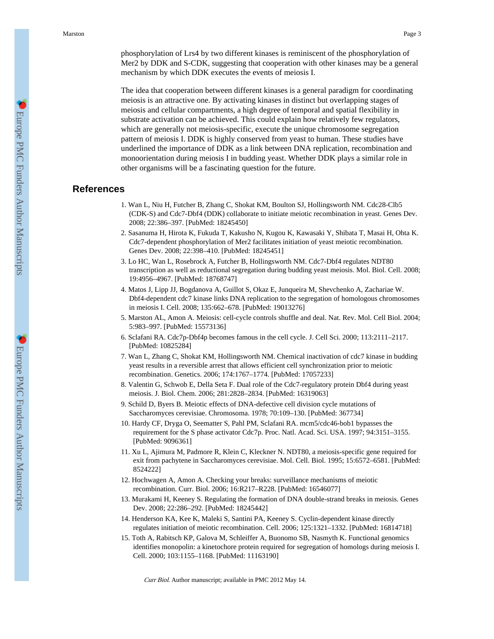The idea that cooperation between different kinases is a general paradigm for coordinating meiosis is an attractive one. By activating kinases in distinct but overlapping stages of meiosis and cellular compartments, a high degree of temporal and spatial flexibility in substrate activation can be achieved. This could explain how relatively few regulators, which are generally not meiosis-specific, execute the unique chromosome segregation pattern of meiosis I. DDK is highly conserved from yeast to human. These studies have underlined the importance of DDK as a link between DNA replication, recombination and monoorientation during meiosis I in budding yeast. Whether DDK plays a similar role in other organisms will be a fascinating question for the future.

## **References**

- 1. Wan L, Niu H, Futcher B, Zhang C, Shokat KM, Boulton SJ, Hollingsworth NM. Cdc28-Clb5 (CDK-S) and Cdc7-Dbf4 (DDK) collaborate to initiate meiotic recombination in yeast. Genes Dev. 2008; 22:386–397. [PubMed: 18245450]
- 2. Sasanuma H, Hirota K, Fukuda T, Kakusho N, Kugou K, Kawasaki Y, Shibata T, Masai H, Ohta K. Cdc7-dependent phosphorylation of Mer2 facilitates initiation of yeast meiotic recombination. Genes Dev. 2008; 22:398–410. [PubMed: 18245451]
- 3. Lo HC, Wan L, Rosebrock A, Futcher B, Hollingsworth NM. Cdc7-Dbf4 regulates NDT80 transcription as well as reductional segregation during budding yeast meiosis. Mol. Biol. Cell. 2008; 19:4956–4967. [PubMed: 18768747]
- 4. Matos J, Lipp JJ, Bogdanova A, Guillot S, Okaz E, Junqueira M, Shevchenko A, Zachariae W. Dbf4-dependent cdc7 kinase links DNA replication to the segregation of homologous chromosomes in meiosis I. Cell. 2008; 135:662–678. [PubMed: 19013276]
- 5. Marston AL, Amon A. Meiosis: cell-cycle controls shuffle and deal. Nat. Rev. Mol. Cell Biol. 2004; 5:983–997. [PubMed: 15573136]
- 6. Sclafani RA. Cdc7p-Dbf4p becomes famous in the cell cycle. J. Cell Sci. 2000; 113:2111–2117. [PubMed: 10825284]
- 7. Wan L, Zhang C, Shokat KM, Hollingsworth NM. Chemical inactivation of cdc7 kinase in budding yeast results in a reversible arrest that allows efficient cell synchronization prior to meiotic recombination. Genetics. 2006; 174:1767–1774. [PubMed: 17057233]
- 8. Valentin G, Schwob E, Della Seta F. Dual role of the Cdc7-regulatory protein Dbf4 during yeast meiosis. J. Biol. Chem. 2006; 281:2828–2834. [PubMed: 16319063]
- 9. Schild D, Byers B. Meiotic effects of DNA-defective cell division cycle mutations of Saccharomyces cerevisiae. Chromosoma. 1978; 70:109–130. [PubMed: 367734]
- 10. Hardy CF, Dryga O, Seematter S, Pahl PM, Sclafani RA. mcm5/cdc46-bob1 bypasses the requirement for the S phase activator Cdc7p. Proc. Natl. Acad. Sci. USA. 1997; 94:3151–3155. [PubMed: 9096361]
- 11. Xu L, Ajimura M, Padmore R, Klein C, Kleckner N. NDT80, a meiosis-specific gene required for exit from pachytene in Saccharomyces cerevisiae. Mol. Cell. Biol. 1995; 15:6572–6581. [PubMed: 8524222]
- 12. Hochwagen A, Amon A. Checking your breaks: surveillance mechanisms of meiotic recombination. Curr. Biol. 2006; 16:R217–R228. [PubMed: 16546077]
- 13. Murakami H, Keeney S. Regulating the formation of DNA double-strand breaks in meiosis. Genes Dev. 2008; 22:286–292. [PubMed: 18245442]
- 14. Henderson KA, Kee K, Maleki S, Santini PA, Keeney S. Cyclin-dependent kinase directly regulates initiation of meiotic recombination. Cell. 2006; 125:1321–1332. [PubMed: 16814718]
- 15. Toth A, Rabitsch KP, Galova M, Schleiffer A, Buonomo SB, Nasmyth K. Functional genomics identifies monopolin: a kinetochore protein required for segregation of homologs during meiosis I. Cell. 2000; 103:1155–1168. [PubMed: 11163190]

Curr Biol. Author manuscript; available in PMC 2012 May 14.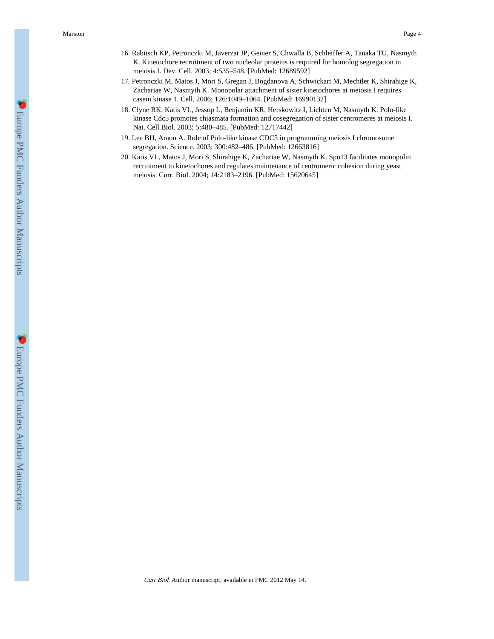- 16. Rabitsch KP, Petronczki M, Javerzat JP, Genier S, Chwalla B, Schleiffer A, Tanaka TU, Nasmyth K. Kinetochore recruitment of two nucleolar proteins is required for homolog segregation in meiosis I. Dev. Cell. 2003; 4:535–548. [PubMed: 12689592]
- 17. Petronczki M, Matos J, Mori S, Gregan J, Bogdanova A, Schwickart M, Mechtler K, Shirahige K, Zachariae W, Nasmyth K. Monopolar attachment of sister kinetochores at meiosis I requires casein kinase 1. Cell. 2006; 126:1049–1064. [PubMed: 16990132]
- 18. Clyne RK, Katis VL, Jessop L, Benjamin KR, Herskowitz I, Lichten M, Nasmyth K. Polo-like kinase Cdc5 promotes chiasmata formation and cosegregation of sister centromeres at meiosis I. Nat. Cell Biol. 2003; 5:480–485. [PubMed: 12717442]
- 19. Lee BH, Amon A. Role of Polo-like kinase CDC5 in programming meiosis I chromosome segregation. Science. 2003; 300:482–486. [PubMed: 12663816]
- 20. Katis VL, Matos J, Mori S, Shirahige K, Zachariae W, Nasmyth K. Spo13 facilitates monopolin recruitment to kinetochores and regulates maintenance of centromeric cohesion during yeast meiosis. Curr. Biol. 2004; 14:2183–2196. [PubMed: 15620645]